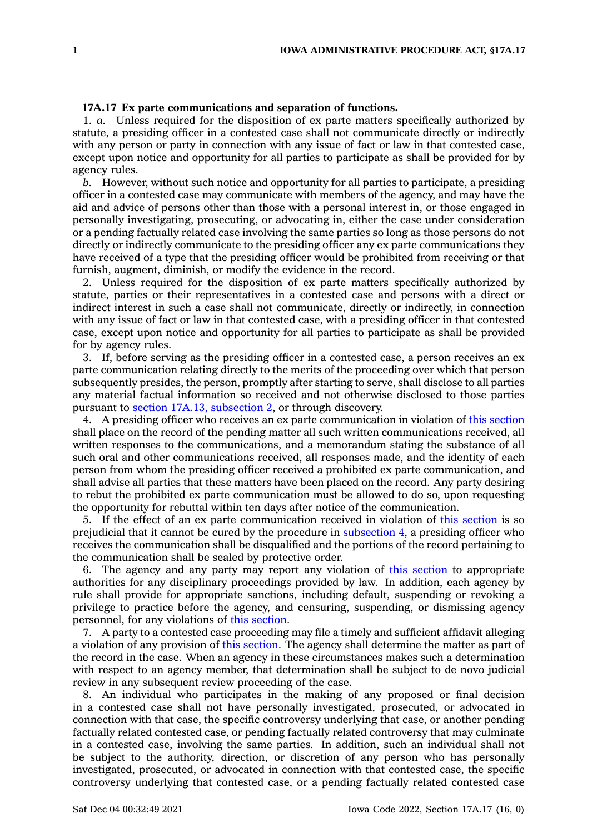## **17A.17 Ex parte communications and separation of functions.**

1. *a.* Unless required for the disposition of ex parte matters specifically authorized by statute, <sup>a</sup> presiding officer in <sup>a</sup> contested case shall not communicate directly or indirectly with any person or party in connection with any issue of fact or law in that contested case, except upon notice and opportunity for all parties to participate as shall be provided for by agency rules.

*b.* However, without such notice and opportunity for all parties to participate, <sup>a</sup> presiding officer in <sup>a</sup> contested case may communicate with members of the agency, and may have the aid and advice of persons other than those with <sup>a</sup> personal interest in, or those engaged in personally investigating, prosecuting, or advocating in, either the case under consideration or <sup>a</sup> pending factually related case involving the same parties so long as those persons do not directly or indirectly communicate to the presiding officer any ex parte communications they have received of <sup>a</sup> type that the presiding officer would be prohibited from receiving or that furnish, augment, diminish, or modify the evidence in the record.

2. Unless required for the disposition of ex parte matters specifically authorized by statute, parties or their representatives in <sup>a</sup> contested case and persons with <sup>a</sup> direct or indirect interest in such <sup>a</sup> case shall not communicate, directly or indirectly, in connection with any issue of fact or law in that contested case, with <sup>a</sup> presiding officer in that contested case, except upon notice and opportunity for all parties to participate as shall be provided for by agency rules.

3. If, before serving as the presiding officer in <sup>a</sup> contested case, <sup>a</sup> person receives an ex parte communication relating directly to the merits of the proceeding over which that person subsequently presides, the person, promptly after starting to serve, shall disclose to all parties any material factual information so received and not otherwise disclosed to those parties pursuant to section 17A.13, [subsection](https://www.legis.iowa.gov/docs/code/17A.13.pdf) 2, or through discovery.

4. A presiding officer who receives an ex parte communication in violation of this [section](https://www.legis.iowa.gov/docs/code/17A.17.pdf) shall place on the record of the pending matter all such written communications received, all written responses to the communications, and <sup>a</sup> memorandum stating the substance of all such oral and other communications received, all responses made, and the identity of each person from whom the presiding officer received <sup>a</sup> prohibited ex parte communication, and shall advise all parties that these matters have been placed on the record. Any party desiring to rebut the prohibited ex parte communication must be allowed to do so, upon requesting the opportunity for rebuttal within ten days after notice of the communication.

5. If the effect of an ex parte communication received in violation of this [section](https://www.legis.iowa.gov/docs/code/17A.17.pdf) is so prejudicial that it cannot be cured by the procedure in [subsection](https://www.legis.iowa.gov/docs/code/17A.17.pdf) 4, <sup>a</sup> presiding officer who receives the communication shall be disqualified and the portions of the record pertaining to the communication shall be sealed by protective order.

6. The agency and any party may report any violation of this [section](https://www.legis.iowa.gov/docs/code/17A.17.pdf) to appropriate authorities for any disciplinary proceedings provided by law. In addition, each agency by rule shall provide for appropriate sanctions, including default, suspending or revoking <sup>a</sup> privilege to practice before the agency, and censuring, suspending, or dismissing agency personnel, for any violations of this [section](https://www.legis.iowa.gov/docs/code/17A.17.pdf).

7. A party to <sup>a</sup> contested case proceeding may file <sup>a</sup> timely and sufficient affidavit alleging <sup>a</sup> violation of any provision of this [section](https://www.legis.iowa.gov/docs/code/17A.17.pdf). The agency shall determine the matter as part of the record in the case. When an agency in these circumstances makes such <sup>a</sup> determination with respect to an agency member, that determination shall be subject to de novo judicial review in any subsequent review proceeding of the case.

8. An individual who participates in the making of any proposed or final decision in <sup>a</sup> contested case shall not have personally investigated, prosecuted, or advocated in connection with that case, the specific controversy underlying that case, or another pending factually related contested case, or pending factually related controversy that may culminate in <sup>a</sup> contested case, involving the same parties. In addition, such an individual shall not be subject to the authority, direction, or discretion of any person who has personally investigated, prosecuted, or advocated in connection with that contested case, the specific controversy underlying that contested case, or <sup>a</sup> pending factually related contested case